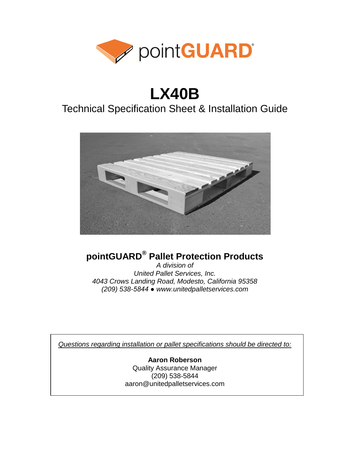

# **LX40B**

## Technical Specification Sheet & Installation Guide



## **pointGUARD® Pallet Protection Products**

*A division of United Pallet Services, Inc. 4043 Crows Landing Road, Modesto, California 95358 (209) 538-5844 ● www.unitedpalletservices.com*

*Questions regarding installation or pallet specifications should be directed to:*

**Aaron Roberson** Quality Assurance Manager (209) 538-5844 aaron@unitedpalletservices.com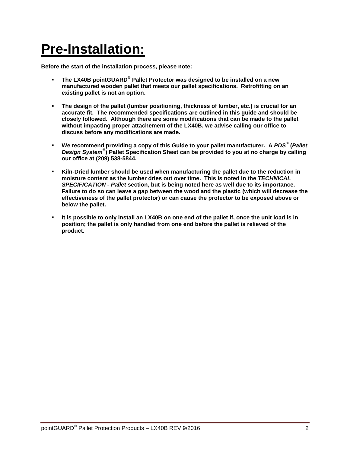# **Pre-Installation:**

**Before the start of the installation process, please note:**

- **The LX40B pointGUARD® Pallet Protector was designed to be installed on a new manufactured wooden pallet that meets our pallet specifications. Retrofitting on an existing pallet is not an option.**
- **The design of the pallet (lumber positioning, thickness of lumber, etc.) is crucial for an accurate fit. The recommended specifications are outlined in this guide and should be closely followed. Although there are some modifications that can be made to the pallet without impacting proper attachement of the LX40B, we advise calling our office to discuss before any modifications are made.**
- **We recommend providing a copy of this Guide to your pallet manufacturer. A** *PDS®* **(***Pallet Design System®* **) Pallet Specification Sheet can be provided to you at no charge by calling our office at (209) 538-5844.**
- **Kiln-Dried lumber should be used when manufacturing the pallet due to the reduction in moisture content as the lumber dries out over time. This is noted in the** *TECHNICAL SPECIFICATION - Pallet* **section, but is being noted here as well due to its importance. Failure to do so can leave a gap between the wood and the plastic (which will decrease the effectiveness of the pallet protector) or can cause the protector to be exposed above or below the pallet.**
- **It is possible to only install an LX40B on one end of the pallet if, once the unit load is in position; the pallet is only handled from one end before the pallet is relieved of the product.**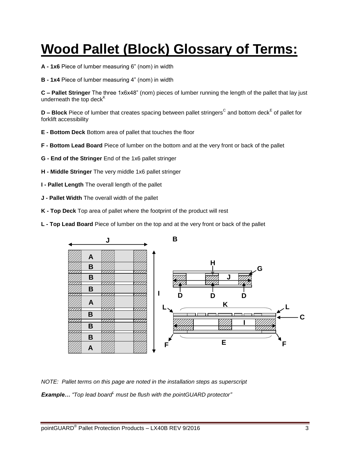# **Wood Pallet (Block) Glossary of Terms:**

- **A - 1x6** Piece of lumber measuring 6" (nom) in width
- **B - 1x4** Piece of lumber measuring 4" (nom) in width

**C – Pallet Stringer** The three 1x6x48" (nom) pieces of lumber running the length of the pallet that lay just underneath the top deck<sup>K</sup>

**D – Block** Piece of lumber that creates spacing between pallet stringers<sup>C</sup> and bottom deck<sup>E</sup> of pallet for forklift accessibility

- **E - Bottom Deck** Bottom area of pallet that touches the floor
- **F - Bottom Lead Board** Piece of lumber on the bottom and at the very front or back of the pallet
- **G - End of the Stringer** End of the 1x6 pallet stringer
- **H - Middle Stringer** The very middle 1x6 pallet stringer
- **I - Pallet Length** The overall length of the pallet
- **J - Pallet Width** The overall width of the pallet
- **K - Top Deck** Top area of pallet where the footprint of the product will rest
- **L - Top Lead Board** Piece of lumber on the top and at the very front or back of the pallet



*NOTE: Pallet terms on this page are noted in the installation steps as superscript Example...* "Top lead board<sup>*L*</sup> must be flush with the pointGUARD protector"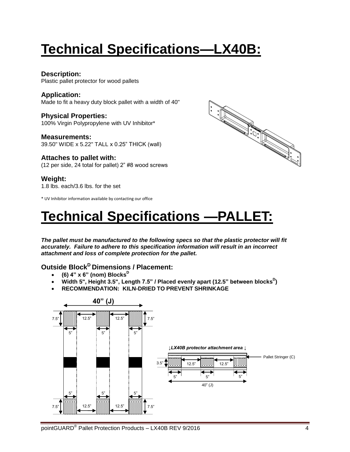# **Technical Specifications—LX40B:**

### **Description:**

Plastic pallet protector for wood pallets

### **Application:**

Made to fit a heavy duty block pallet with a width of 40"

#### **Physical Properties:** 100% Virgin Polypropylene with UV Inhibitor\*

**Measurements:** 39.50" WIDE x 5.22" TALL x 0.25" THICK (wall)

### **Attaches to pallet with:**

(12 per side, 24 total for pallet) 2" #8 wood screws

### **Weight:**

1.8 lbs. each/3.6 lbs. for the set

\* UV Inhibitor information available by contacting our office



# **Technical Specifications —PALLET:**

*The pallet must be manufactured to the following specs so that the plastic protector will fit accurately. Failure to adhere to this specification information will result in an incorrect attachment and loss of complete protection for the pallet.*

### **Outside Block<sup>D</sup> Dimensions / Placement:**

- **(6) 4" x 6" (nom) Blocks<sup>D</sup>**
- Width 5", Height 3.5", Length 7.5" / Placed evenly apart (12.5" between blocks<sup>D</sup>)
- **RECOMMENDATION: KILN-DRIED TO PREVENT SHRINKAGE**

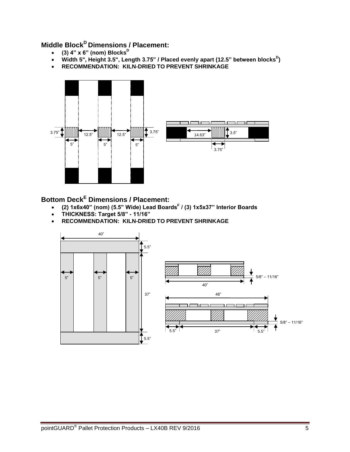### **Middle Block<sup>D</sup>Dimensions / Placement:**

- **(3) 4" x 6" (nom) Blocks<sup>D</sup>**
- Width 5", Height 3.5", Length 3.75" / Placed evenly apart (12.5" between blocks<sup>D</sup>)
- **RECOMMENDATION: KILN-DRIED TO PREVENT SHRINKAGE**



**Bottom Deck<sup>E</sup> Dimensions / Placement:**

- **(2) 1x6x40" (nom) (5.5" Wide) Lead Boards<sup>F</sup> / (3) 1x5x37" Interior Boards**
- **THICKNESS: Target 5/8" - 11/16"**
- **RECOMMENDATION: KILN-DRIED TO PREVENT SHRINKAGE**

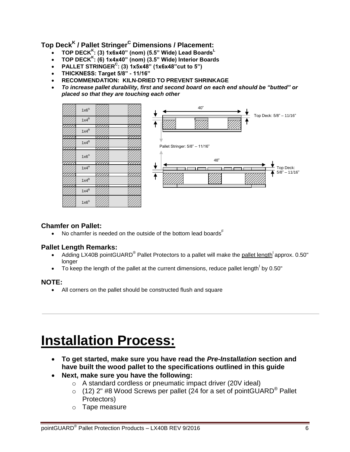**Top Deck<sup>K</sup> / Pallet Stringer <sup>C</sup> Dimensions / Placement:**

- **TOP DECK<sup>K</sup> : (3) 1x6x40" (nom) (5.5" Wide) Lead Boards<sup>L</sup>**
- **TOP DECK<sup>K</sup> : (6) 1x4x40" (nom) (3.5" Wide) Interior Boards**
- **PALLET STRINGER<sup>C</sup> : (3) 1x5x48" (1x6x48"cut to 5")**
- **THICKNESS: Target 5/8" - 11/16"**
- **RECOMMENDATION: KILN-DRIED TO PREVENT SHRINKAGE**
- *To increase pallet durability, first and second board on each end should be "butted" or placed so that they are touching each other*



### **Chamfer on Pallet:**

• No chamfer is needed on the outside of the bottom lead boards<sup>F</sup>

### **Pallet Length Remarks:**

- Adding LX40B pointGUARD<sup>®</sup> Pallet Protectors to a pallet will make the pallet length<sup>1</sup> approx. 0.50" longer
- $\bullet$  To keep the length of the pallet at the current dimensions, reduce pallet length by 0.50"

### **NOTE:**

All corners on the pallet should be constructed flush and square

# **Installation Process:**

- **To get started, make sure you have read the** *Pre-Installation* **section and have built the wood pallet to the specifications outlined in this guide**
- **Next, make sure you have the following:** 
	- o A standard cordless or pneumatic impact driver (20V ideal)
	- $\circ$  (12) 2" #8 Wood Screws per pallet (24 for a set of pointGUARD<sup>®</sup> Pallet Protectors)
	- o Tape measure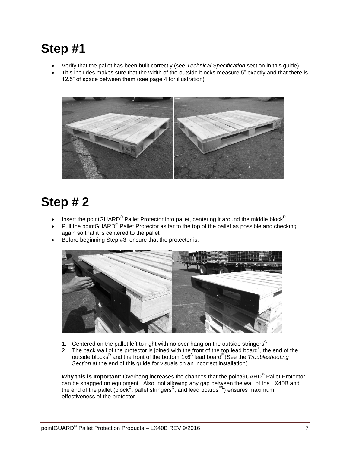## **Step #1**

- Verify that the pallet has been built correctly (see *Technical Specification* section in this guide).
- This includes makes sure that the width of the outside blocks measure 5" exactly and that there is 12.5" of space between them (see page 4 for illustration)



## **Step # 2**

- Insert the pointGUARD<sup>®</sup> Pallet Protector into pallet, centering it around the middle block<sup>D</sup>
- Pull the pointGUARD<sup>®</sup> Pallet Protector as far to the top of the pallet as possible and checking again so that it is centered to the pallet
- Before beginning Step #3, ensure that the protector is:



- 1. Centered on the pallet left to right with no over hang on the outside stringers<sup>C</sup>
- 2. The back wall of the protector is joined with the front of the top lead board <sup>L</sup>, the end of the outside blocks<sup>D</sup> and the front of the bottom 1x6<sup>A</sup> lead board<sup>F</sup> (See the *Troubleshooting Section* at the end of this guide for visuals on an incorrect installation)

**Why this is Important**: Overhang increases the chances that the pointGUARD® Pallet Protector can be snagged on equipment. Also, not allowing any gap between the wall of the LX40B and the end of the pallet (block<sup>D</sup>, pallet stringers<sup>C</sup>, and lead boards<sup>F/L</sup>) ensures maximum effectiveness of the protector.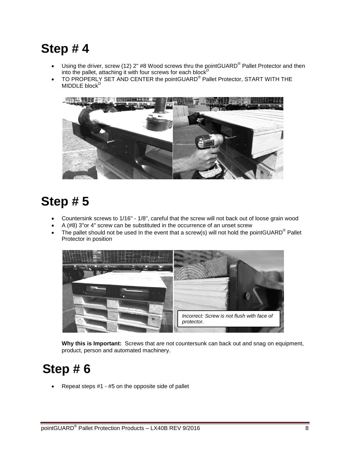## **Step # 4**

- Using the driver, screw (12) 2" #8 Wood screws thru the pointGUARD<sup>®</sup> Pallet Protector and then into the pallet, attaching it with four screws for each block<sup>D</sup>
- $\bullet$  TO PROPERLY SET AND CENTER the pointGUARD<sup>®</sup> Pallet Protector, START WITH THE MIDDLE block<sup>D</sup>



## **Step # 5**

- Countersink screws to 1/16" 1/8", careful that the screw will not back out of loose grain wood
- A (#8) 3"or 4" screw can be substituted in the occurrence of an unset screw
- The pallet should not be used In the event that a screw(s) will not hold the pointGUARD<sup>®</sup> Pallet Protector in position



**Why this is Important:** Screws that are not countersunk can back out and snag on equipment, product, person and automated machinery.

## **Step # 6**

Repeat steps #1 - #5 on the opposite side of pallet